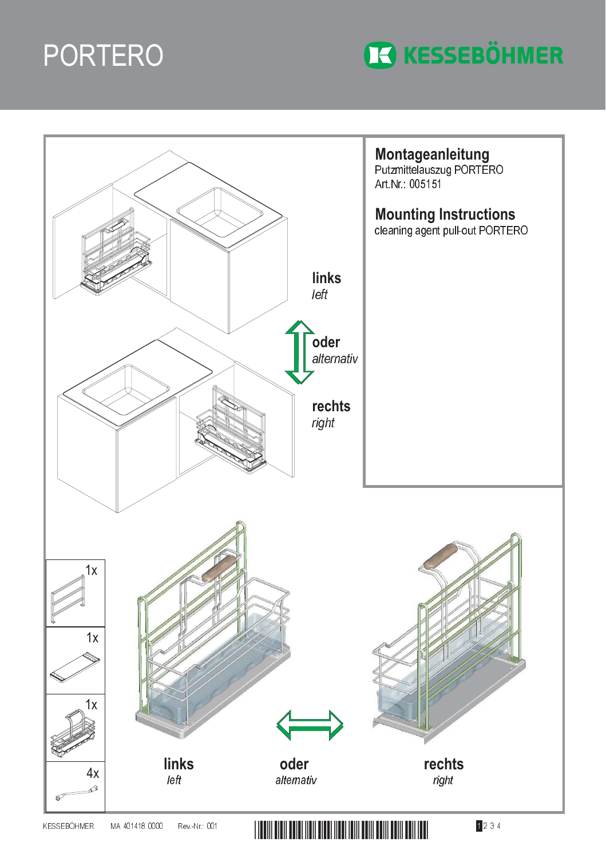



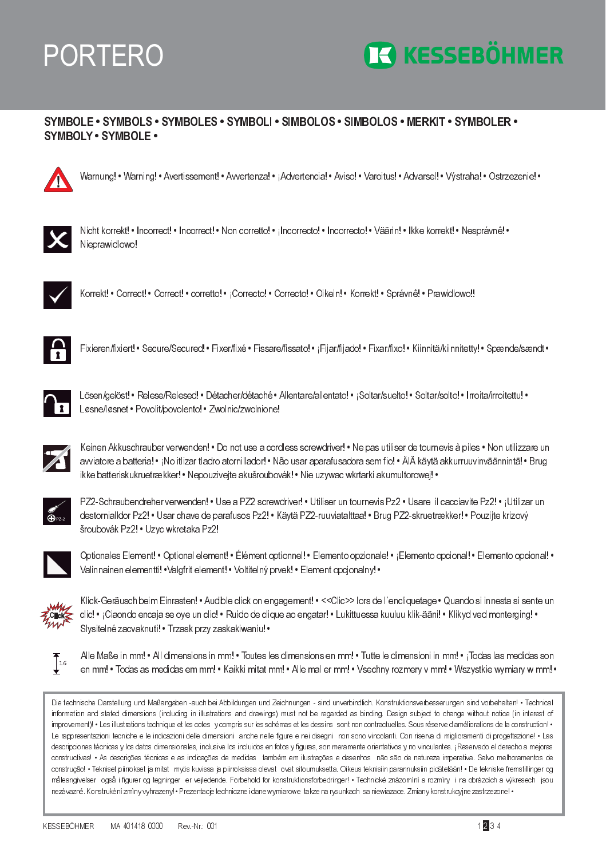## **PORTERO**



## SYMBOLE · SYMBOLS · SYMBOLES · SYMBOLI · SIMBOLOS · SIMBOLOS · MERKIT · SYMBOLER · **SYMBOLY · SYMBOLE ·**



Warnung! • Warning! • Avertissement! • Avvertenza! • ¡Advertencia! • Aviso! • Varoitus! • Advarsel! • Výstraha! • Ostrzezenie! •



Nicht korrekt! • Incorrect! • Incorrect! • Non corretto! • Incorrecto! • Incorrecto! • Väärin! • Ikke korrekt! • Nesprávnê! • Nieprawidlowo!



Korrekt! • Correct! • Correct! • corretto! • ¡Correcto! • Correcto! • Oikein! • Korrekt! • Správnê! • Prawidlowo!!



Fixieren/fixiert! • Secure/Secured! • Fixer/fixé • Fissare/fissato! • ¡Fijar/fijado! • Fixar/fixo! • Kiinnitä/kiinnitetty! • Spænde/sændt •



Lösen/gelöst! • Relese/Relesed! • Détacher/détaché • Allentare/allentato! • ¡Soltar/suelto! • Soltar/solto! • Irroita/irroitettu! • Løsne/løsnet · Povolit/povolento! · Zwolnic/zwolnione!



Keinen Akkuschrauber verwenden! • Do not use a cordless screwdriver! • Ne pas utiliser de tournevis à piles • Non utilizzare un avviatore a batteria! • ¡No itlizar tladro atornillador! • Não usar aparafusadora sem fio! • ÄlÄ käytä akkurruuvinväännintä! • Brug ikke batteriskukruetrækker! • Nepouziveite akušroubovák! • Nie uzvwac wkrtarki akumultorowei! •



PZ2-Schraubendreher verwenden! • Use a PZ2 screwdriver! • Utiliser un tournevis Pz2 • Usare il cacciavite Pz2! • ¡Utilizar un destornialldor Pz2! • Usar chave de parafusos Pz2! • Käytä PZ2-ruuviatalttaa! • Brug PZ2-skruetrækker! • Pouzijte krizový šroubovák Pz2! · Uzyc wkretaka Pz2!



Optionales Element! • Optional element! • Élément optionnel! • Elemento opzionale! • ¡Elemento opcional! • Elemento opcional! • Valinnainen elementti! • Valgfrit element! • Voltitelný prvek! • Element opcjonalny! •



Klick-Geräusch beim Einrasten! • Audible click on engagement! • << Clic>> lors de l'encliquetage • Quando si innesta si sente un clic! • ¡Ciaondo encaja se oye un clic! • Ruído de clique ao engatar! • Lukittuessa kuuluu klik-ääni! • Klikyd ved monterging! • Slysitelné zacvaknutí! · Trzask przy zaskakiwaniu! ·



Alle Maße in mm! • All dimensions in mm! • Toutes les dimensions en mm! • Tutte le dimensioni in mm! • ¡Todas las medidas son en mm! • Todas as medidas em mm! • Kaikki mitat mm! • Alle mal er mm! • Vsechny rozmery v mm! • Wszystkie wymiary w mm! •

Die technische Darstellung und Maßangaben -auch bei Abbildungen und Zeichnungen - sind unverbindlich. Konstruktionsverbesserungen sind vorbehalten! • Technical information and stated dimensions (including in illustrations and drawings) must not be regarded as binding. Design subject to change without notice (in interest of improvement)! • Les illustrations technique et les cotes y compris sur les schémas et les dessins sont non contractuelles. Sous réserve d'améliorations de la construction! • Le rappresentazioni tecniche e le indicazioni delle dimensioni anche nelle figure e nei disegni non sono vincolanti. Con riserva di miglioramenti di progettazione! . Las descripciones técnicas y los datos dimensionales, inclusive los incluidos en fotos y figuras, son meramente orientativos y no vinculantes. ¡Reservado el derecho a mejoras constructivas! • As descrições técnicas e as indicações de medidas também em ilustrações e desenhos não são de natureza imperativa. Salvo melhoramentos de construção! • Tekniset pirrokset ja mitat myös kuvissa ja pirroksissa olevat ovat sitoumuksetta. Oikeus teknisiin parannuksiin pidätetään! • De tekniske fremstillinger og måleangivelser også i figurer og tegninger er vejledende. Forbehold for konstruktionsforbedringer! • Technické znázorniní a rozmiry i na obrázcích a výkresech jsou nezávazné. Konstrukèní zmìny vyhrazeny! • Prezentacje techniczne i dane wymiarowe takze na rysunkach sa niewiazace. Zmiany konstrukcyjne zastrzezone! •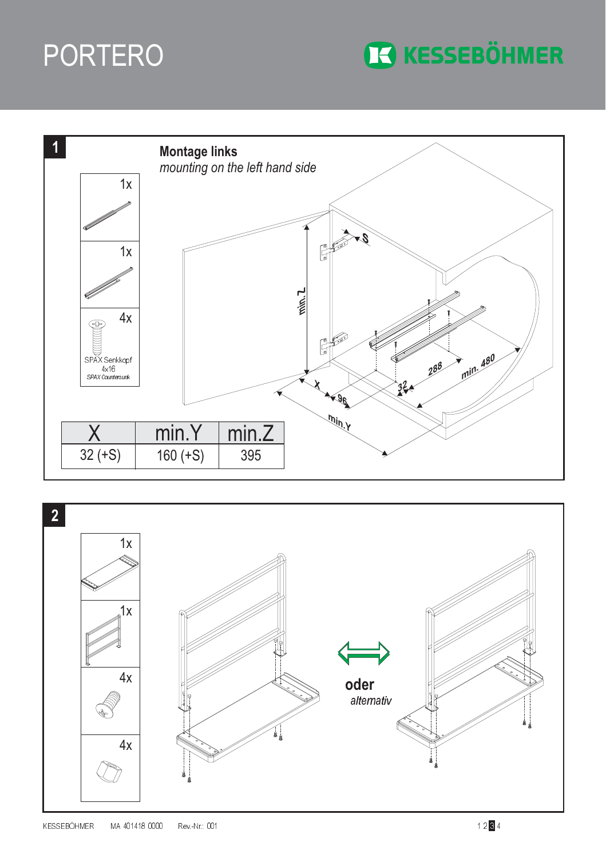## PORTERO